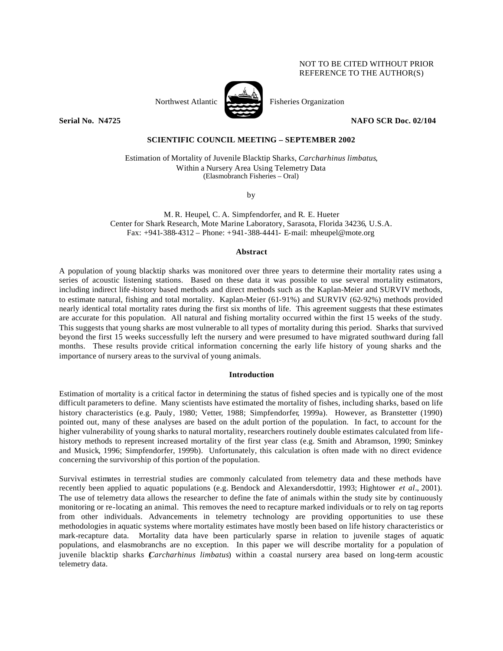# NOT TO BE CITED WITHOUT PRIOR REFERENCE TO THE AUTHOR(S)



Northwest Atlantic Fisheries Organization

**Serial No. 14725 NAFO SCR Doc. 02/104** 

# **SCIENTIFIC COUNCIL MEETING – SEPTEMBER 2002**

Estimation of Mortality of Juvenile Blacktip Sharks, *Carcharhinus limbatus*, Within a Nursery Area Using Telemetry Data (Elasmobranch Fisheries – Oral)

by

M. R. Heupel, C. A. Simpfendorfer, and R. E. Hueter Center for Shark Research, Mote Marine Laboratory, Sarasota, Florida 34236, U.S.A. Fax: +941-388-4312 – Phone: +941-388-4441- E-mail: mheupel@mote.org

## **Abstract**

A population of young blacktip sharks was monitored over three years to determine their mortality rates using a series of acoustic listening stations. Based on these data it was possible to use several mortality estimators, including indirect life -history based methods and direct methods such as the Kaplan-Meier and SURVIV methods, to estimate natural, fishing and total mortality. Kaplan-Meier (61-91%) and SURVIV (62-92%) methods provided nearly identical total mortality rates during the first six months of life. This agreement suggests that these estimates are accurate for this population. All natural and fishing mortality occurred within the first 15 weeks of the study. This suggests that young sharks are most vulnerable to all types of mortality during this period. Sharks that survived beyond the first 15 weeks successfully left the nursery and were presumed to have migrated southward during fall months. These results provide critical information concerning the early life history of young sharks and the importance of nursery areas to the survival of young animals.

### **Introduction**

Estimation of mortality is a critical factor in determining the status of fished species and is typically one of the most difficult parameters to define. Many scientists have estimated the mortality of fishes, including sharks, based on life history characteristics (e.g. Pauly, 1980; Vetter, 1988; Simpfendorfer, 1999a). However, as Branstetter (1990) pointed out, many of these analyses are based on the adult portion of the population. In fact, to account for the higher vulnerability of young sharks to natural mortality, researchers routinely double estimates calculated from lifehistory methods to represent increased mortality of the first year class (e.g. Smith and Abramson, 1990; Sminkey and Musick, 1996; Simpfendorfer, 1999b). Unfortunately, this calculation is often made with no direct evidence concerning the survivorship of this portion of the population.

Survival estimates in terrestrial studies are commonly calculated from telemetry data and these methods have recently been applied to aquatic populations (e.g. Bendock and Alexandersdottir, 1993; Hightower *et al*., 2001). The use of telemetry data allows the researcher to define the fate of animals within the study site by continuously monitoring or re-locating an animal. This removes the need to recapture marked individuals or to rely on tag reports from other individuals. Advancements in telemetry technology are providing opportunities to use these methodologies in aquatic systems where mortality estimates have mostly been based on life history characteristics or mark-recapture data. Mortality data have been particularly sparse in relation to juvenile stages of aquatic populations, and elasmobranchs are no exception. In this paper we will describe mortality for a population of juvenile blacktip sharks (*Carcharhinus limbatus*) within a coastal nursery area based on long-term acoustic telemetry data.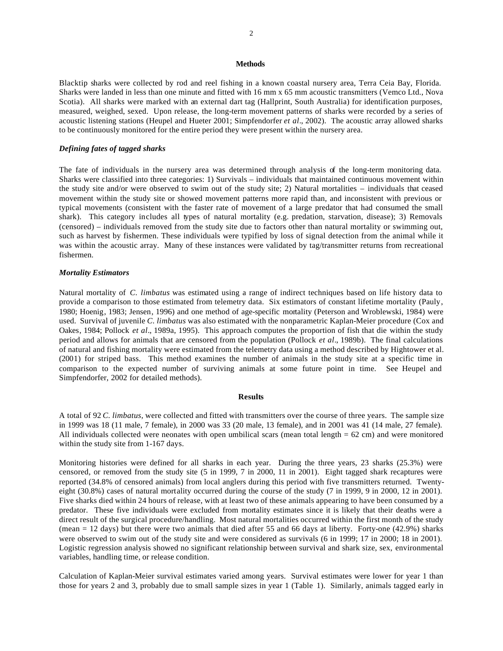#### **Methods**

Blacktip sharks were collected by rod and reel fishing in a known coastal nursery area, Terra Ceia Bay, Florida. Sharks were landed in less than one minute and fitted with 16 mm x 65 mm acoustic transmitters (Vemco Ltd., Nova Scotia). All sharks were marked with an external dart tag (Hallprint, South Australia) for identification purposes, measured, weighed, sexed. Upon release, the long-term movement patterns of sharks were recorded by a series of acoustic listening stations (Heupel and Hueter 2001; Simpfendorfer *et al*., 2002). The acoustic array allowed sharks to be continuously monitored for the entire period they were present within the nursery area.

## *Defining fates of tagged sharks*

The fate of individuals in the nursery area was determined through analysis of the long-term monitoring data. Sharks were classified into three categories: 1) Survivals – individuals that maintained continuous movement within the study site and/or were observed to swim out of the study site; 2) Natural mortalities – individuals that ceased movement within the study site or showed movement patterns more rapid than, and inconsistent with previous or typical movements (consistent with the faster rate of movement of a large predator that had consumed the small shark). This category includes all types of natural mortality (e.g. predation, starvation, disease); 3) Removals (censored) – individuals removed from the study site due to factors other than natural mortality or swimming out, such as harvest by fishermen. These individuals were typified by loss of signal detection from the animal while it was within the acoustic array. Many of these instances were validated by tag/transmitter returns from recreational fishermen.

## *Mortality Estimators*

Natural mortality of *C. limbatus* was estimated using a range of indirect techniques based on life history data to provide a comparison to those estimated from telemetry data. Six estimators of constant lifetime mortality (Pauly, 1980; Hoenig, 1983; Jensen, 1996) and one method of age-specific mortality (Peterson and Wroblewski, 1984) were used. Survival of juvenile *C. limbatus* was also estimated with the nonparametric Kaplan-Meier procedure (Cox and Oakes, 1984; Pollock *et al*., 1989a, 1995). This approach computes the proportion of fish that die within the study period and allows for animals that are censored from the population (Pollock *et al*., 1989b). The final calculations of natural and fishing mortality were estimated from the telemetry data using a method described by Hightower et al. (2001) for striped bass. This method examines the number of animals in the study site at a specific time in comparison to the expected number of surviving animals at some future point in time.See Heupel and Simpfendorfer, 2002 for detailed methods).

#### **Results**

A total of 92 *C. limbatus,* were collected and fitted with transmitters over the course of three years. The sample size in 1999 was 18 (11 male, 7 female), in 2000 was 33 (20 male, 13 female), and in 2001 was 41 (14 male, 27 female). All individuals collected were neonates with open umbilical scars (mean total length  $= 62$  cm) and were monitored within the study site from 1-167 days.

Monitoring histories were defined for all sharks in each year. During the three years, 23 sharks (25.3%) were censored, or removed from the study site (5 in 1999, 7 in 2000, 11 in 2001). Eight tagged shark recaptures were reported (34.8% of censored animals) from local anglers during this period with five transmitters returned. Twentyeight (30.8%) cases of natural mortality occurred during the course of the study (7 in 1999, 9 in 2000, 12 in 2001). Five sharks died within 24 hours of release, with at least two of these animals appearing to have been consumed by a predator. These five individuals were excluded from mortality estimates since it is likely that their deaths were a direct result of the surgical procedure/handling. Most natural mortalities occurred within the first month of the study (mean = 12 days) but there were two animals that died after 55 and 66 days at liberty. Forty-one (42.9%) sharks were observed to swim out of the study site and were considered as survivals (6 in 1999; 17 in 2000; 18 in 2001). Logistic regression analysis showed no significant relationship between survival and shark size, sex, environmental variables, handling time, or release condition.

Calculation of Kaplan-Meier survival estimates varied among years. Survival estimates were lower for year 1 than those for years 2 and 3, probably due to small sample sizes in year 1 (Table 1). Similarly, animals tagged early in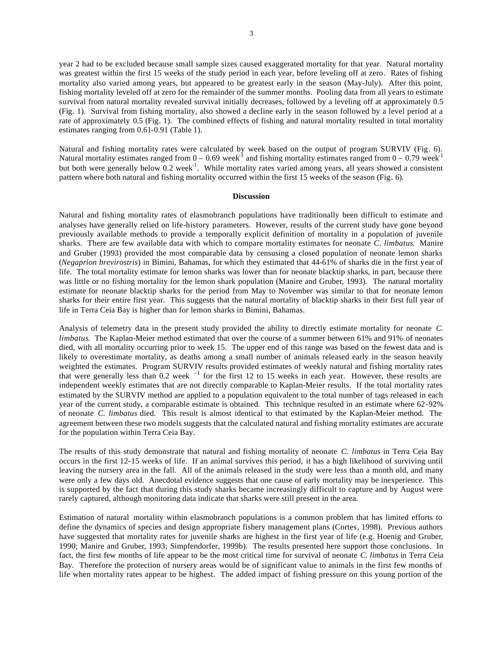year 2 had to be excluded because small sample sizes caused exaggerated mortality for that year. Natural mortality was greatest within the first 15 weeks of the study period in each year, before leveling off at zero. Rates of fishing mortality also varied among years, but appeared to be greatest early in the season (May-July). After this point, fishing mortality leveled off at zero for the remainder of the summer months. Pooling data from all years to estimate survival from natural mortality revealed survival initially decreases, followed by a leveling off at approximately 0.5 (Fig. 1). Survival from fishing mortality, also showed a decline early in the season followed by a level period at a rate of approximately 0.5 (Fig. 1). The combined effects of fishing and natural mortality resulted in total mortality estimates ranging from 0.61-0.91 (Table 1).

Natural and fishing mortality rates were calculated by week based on the output of program SURVIV (Fig. 6). Natural mortality estimates ranged from  $0 - 0.69$  week<sup>-1</sup> and fishing mortality estimates ranged from  $0 - 0.79$  week<sup>-1</sup> but both were generally below  $0.2$  week<sup>-1</sup>. While mortality rates varied among years, all years showed a consistent pattern where both natural and fishing mortality occurred within the first 15 weeks of the season (Fig. 6).

### **Discussion**

Natural and fishing mortality rates of elasmobranch populations have traditionally been difficult to estimate and analyses have generally relied on life-history parameters. However, results of the current study have gone beyond previously available methods to provide a temporally explicit definition of mortality in a population of juvenile sharks. There are few available data with which to compare mortality estimates for neonate *C. limbatus*. Manire and Gruber (1993) provided the most comparable data by censusing a closed population of neonate lemon sharks (*Negaprion brevirostris*) in Bimini, Bahamas, for which they estimated that 44-61% of sharks die in the first year of life. The total mortality estimate for lemon sharks was lower than for neonate blacktip sharks, in part, because there was little or no fishing mortality for the lemon shark population (Manire and Gruber, 1993). The natural mortality estimate for neonate blacktip sharks for the period from May to November was similar to that for neonate lemon sharks for their entire first year. This suggests that the natural mortality of blacktip sharks in their first full year of life in Terra Ceia Bay is higher than for lemon sharks in Bimini, Bahamas.

Analysis of telemetry data in the present study provided the ability to directly estimate mortality for neonate *C. limbatus*. The Kaplan-Meier method estimated that over the course of a summer between 61% and 91% of neonates died, with all mortality occurring prior to week 15. The upper end of this range was based on the fewest data and is likely to overestimate mortality, as deaths among a small number of animals released early in the season heavily weighted the estimates. Program SURVIV results provided estimates of weekly natural and fishing mortality rates that were generally less than  $0.2$  week  $^{-1}$  for the first 12 to 15 weeks in each year. However, these results are independent weekly estimates that are not directly comparable to Kaplan-Meier results. If the total mortality rates estimated by the SURVIV method are applied to a population equivalent to the total number of tags released in each year of the current study, a comparable estimate is obtained. This technique resulted in an estimate where 62-92% of neonate *C. limbatus* died. This result is almost identical to that estimated by the Kaplan-Meier method. The agreement between these two models suggests that the calculated natural and fishing mortality estimates are accurate for the population within Terra Ceia Bay.

The results of this study demonstrate that natural and fishing mortality of neonate *C. limbatus* in Terra Ceia Bay occurs in the first 12-15 weeks of life. If an animal survives this period, it has a high likelihood of surviving until leaving the nursery area in the fall. All of the animals released in the study were less than a month old, and many were only a few days old. Anecdotal evidence suggests that one cause of early mortality may be inexperience. This is supported by the fact that during this study sharks became increasingly difficult to capture and by August were rarely captured, although monitoring data indicate that sharks were still present in the area.

Estimation of natural mortality within elasmobranch populations is a common problem that has limited efforts to define the dynamics of species and design appropriate fishery management plans (Cortes, 1998). Previous authors have suggested that mortality rates for juvenile sharks are highest in the first year of life (e.g. Hoenig and Gruber, 1990; Manire and Gruber, 1993; Simpfendorfer, 1999b). The results presented here support those conclusions. In fact, the first few months of life appear to be the most critical time for survival of neonate *C. limbatus* in Terra Ceia Bay*.* Therefore the protection of nursery areas would be of significant value to animals in the first few months of life when mortality rates appear to be highest. The added impact of fishing pressure on this young portion of the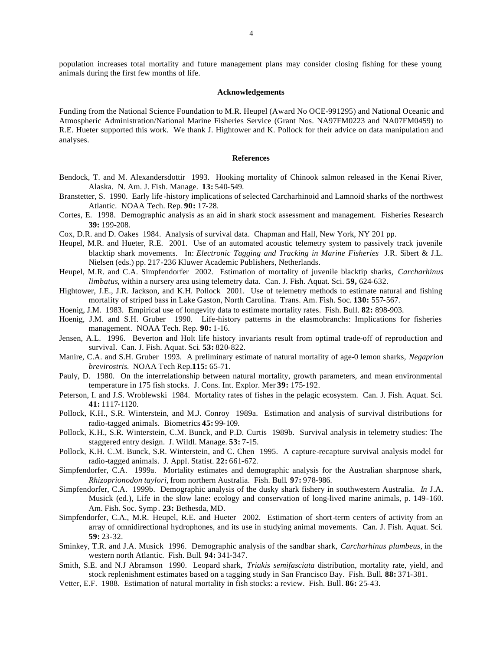#### **Acknowledgements**

Funding from the National Science Foundation to M.R. Heupel (Award No OCE-991295) and National Oceanic and Atmospheric Administration/National Marine Fisheries Service (Grant Nos. NA97FM0223 and NA07FM0459) to R.E. Hueter supported this work. We thank J. Hightower and K. Pollock for their advice on data manipulation and analyses.

#### **References**

- Bendock, T. and M. Alexandersdottir 1993. Hooking mortality of Chinook salmon released in the Kenai River, Alaska. N. Am. J. Fish. Manage*.* **13:** 540-549.
- Branstetter, S. 1990. Early life -history implications of selected Carcharhinoid and Lamnoid sharks of the northwest Atlantic. NOAA Tech. Rep*.* **90:** 17-28.
- Cortes, E. 1998. Demographic analysis as an aid in shark stock assessment and management. Fisheries Research **39:** 199-208.
- Cox, D.R. and D. Oakes 1984. Analysis of survival data. Chapman and Hall, New York, NY 201 pp.
- Heupel, M.R. and Hueter, R.E. 2001. Use of an automated acoustic telemetry system to passively track juvenile blacktip shark movements. In: *Electronic Tagging and Tracking in Marine Fisheries* J.R. Sibert & J.L. Nielsen (eds.) pp. 217-236 Kluwer Academic Publishers, Netherlands.
- Heupel, M.R. and C.A. Simpfendorfer 2002. Estimation of mortality of juvenile blacktip sharks, *Carcharhinus limbatus*, within a nursery area using telemetry data. Can. J. Fish. Aquat. Sci. **59,** 624-632.
- Hightower, J.E., J.R. Jackson, and K.H. Pollock 2001. Use of telemetry methods to estimate natural and fishing mortality of striped bass in Lake Gaston, North Carolina. Trans. Am. Fish. Soc*.* **130:** 557-567.
- Hoenig, J.M. 1983. Empirical use of longevity data to estimate mortality rates. Fish. Bull. **82:** 898-903.
- Hoenig, J.M. and S.H. Gruber 1990. Life-history patterns in the elasmobranchs: Implications for fisheries management. NOAA Tech. Rep*.* **90:** 1-16.
- Jensen, A.L. 1996. Beverton and Holt life history invariants result from optimal trade-off of reproduction and survival. Can. J. Fish. Aquat. Sci*.* **53:** 820-822.
- Manire, C.A. and S.H. Gruber 1993. A preliminary estimate of natural mortality of age-0 lemon sharks, *Negaprion brevirostris.* NOAA Tech Rep*.***115:** 65-71.
- Pauly, D. 1980. On the interrelationship between natural mortality, growth parameters, and mean environmental temperature in 175 fish stocks. J. Cons. Int. Explor. Mer **39:** 175-192.
- Peterson, I. and J.S. Wroblewski 1984. Mortality rates of fishes in the pelagic ecosystem. Can. J. Fish. Aquat. Sci. **41:** 1117-1120.
- Pollock, K.H., S.R. Winterstein, and M.J. Conroy 1989a. Estimation and analysis of survival distributions for radio-tagged animals. Biometrics **45:** 99-109.
- Pollock, K.H., S.R. Winterstein, C.M. Bunck, and P.D. Curtis 1989b. Survival analysis in telemetry studies: The staggered entry design. J. Wildl. Manage*.* **53:** 7-15.
- Pollock, K.H. C.M. Bunck, S.R. Winterstein, and C. Chen 1995. A capture-recapture survival analysis model for radio-tagged animals. J. Appl. Statist. **22:** 661-672.
- Simpfendorfer, C.A. 1999a. Mortality estimates and demographic analysis for the Australian sharpnose shark, *Rhizoprionodon taylori,* from northern Australia. Fish. Bull*.* **97:** 978-986.
- Simpfendorfer, C.A. 1999b. Demographic analysis of the dusky shark fishery in southwestern Australia. *In* J.A. Musick (ed.), Life in the slow lane: ecology and conservation of long-lived marine animals, p. 149-160. Am. Fish. Soc. Symp *.* **23:** Bethesda, MD.
- Simpfendorfer, C.A., M.R. Heupel, R.E. and Hueter 2002. Estimation of short-term centers of activity from an array of omnidirectional hydrophones, and its use in studying animal movements. Can. J. Fish. Aquat. Sci. **59:** 23-32.
- Sminkey, T.R. and J.A. Musick 1996. Demographic analysis of the sandbar shark, *Carcharhinus plumbeus,* in the western north Atlantic. Fish. Bull*.* **94:** 341-347.
- Smith, S.E. and N.J Abramson 1990. Leopard shark, *Triakis semifasciata* distribution, mortality rate, yield, and stock replenishment estimates based on a tagging study in San Francisco Bay. Fish. Bull*.* **88:** 371-381.
- Vetter, E.F. 1988. Estimation of natural mortality in fish stocks: a review. Fish. Bull*.* **86:** 25-43.